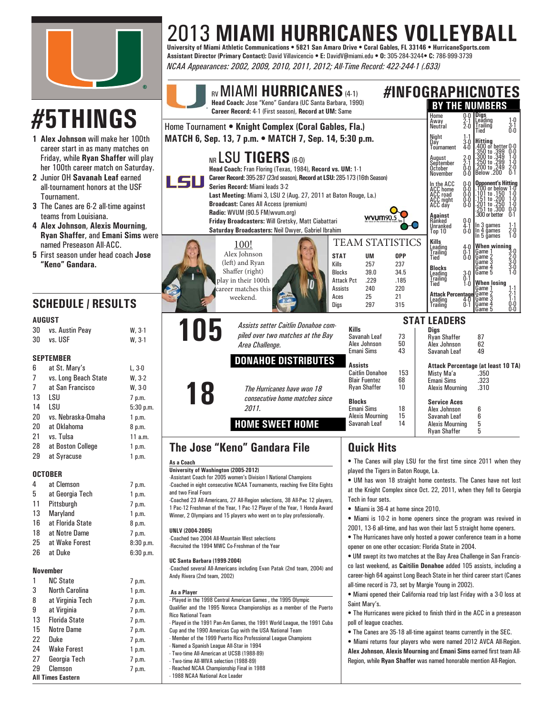

## 2013 **MIAMI HURRICANES VOLLEYBALL University of Miami Athletic Communications • 5821 San Amaro Drive • Coral Gables, FL 33146 • HurricaneSports.com**

**Assistant Director (Primary Contact):** David Villavicencio **• E:** DavidV@miami.edu **• O:** 305-284-3244**• C:** 786-999-3739 *NCAA Appearances: 2002, 2009, 2010, 2011, 2012; All-Time Record: 422-244-1 (.633)*

|          |                                                                                                                                                      |                      | RV MIAMI HURRICANES (4-1)<br>Head Coach: Jose "Keno" Gandara (UC Santa Barbara, 1990)<br>Career Record: 4-1 (First season), Record at UM: Same                  |                                                                                                                                                                                                                                                 | #INFOGRAPHICNOTES<br><b>BY THE NUMBERS</b>                                                                                                                                                                        |
|----------|------------------------------------------------------------------------------------------------------------------------------------------------------|----------------------|-----------------------------------------------------------------------------------------------------------------------------------------------------------------|-------------------------------------------------------------------------------------------------------------------------------------------------------------------------------------------------------------------------------------------------|-------------------------------------------------------------------------------------------------------------------------------------------------------------------------------------------------------------------|
|          | <b>#5THINGS</b>                                                                                                                                      |                      | Home Tournament . Knight Complex (Coral Gables, Fla.)                                                                                                           | 0.0 Digs<br>2.1 Leadir<br>Home<br>Leading<br> Irailing<br>$\begin{array}{c} 1\text{-}0 \\ 3\text{-}1 \\ 0\text{-}0 \end{array}$<br>Away<br>Neutral<br>$\bar{2} \dot{0}$                                                                         |                                                                                                                                                                                                                   |
|          | 1 Alex Johnson will make her 100th                                                                                                                   |                      | MATCH 6, Sep. 13, 7 p.m. • MATCH 7, Sep. 14, 5:30 p.m.                                                                                                          | Tied<br>Night<br>Day<br>3.O                                                                                                                                                                                                                     |                                                                                                                                                                                                                   |
|          | career start in as many matches on<br>Friday, while Ryan Shaffer will play<br>her 100th career match on Saturday.<br>2 Junior OH Savanah Leaf earned |                      | NR LSU TIGERS (6-0)<br>Head Coach: Fran Floring (Texas, 1984), Record vs. UM: 1-1<br>Career Record: 395-287 (23rd season), Record at LSU: 285-173 (16th Season) | Hitting<br>.400 or better 0-0<br>.350 to .399 0-0<br>.300 to .299 1-0<br>.200 to .249 2-0<br>.200 to .249 2-0<br>Below .200 0-1<br><b>Tournament</b><br>$4-0$<br>August<br>September<br>October<br>$2-0$<br>$2-1$<br>$0-0$<br>$0-0$<br>November |                                                                                                                                                                                                                   |
|          | all-tournament honors at the USF<br>Tournament.                                                                                                      |                      | LSU<br>Series Record: Miami leads 3-2<br>Last Meeting: Miami 3, LSU 2 (Aug. 27, 2011 at Baton Rouge, La.)                                                       | <b>Opponent's Hitting</b><br>.100 or below 1.0<br>In the ACC<br>ACC home<br>0.0<br>1.0<br>.101 to .150<br>0.000                                                                                                                                 |                                                                                                                                                                                                                   |
|          | 3 The Canes are 6-2 all-time against                                                                                                                 |                      | <b>Broadcast: Canes All Access (premium)</b>                                                                                                                    |                                                                                                                                                                                                                                                 | ACC road<br>ACC road<br>ACC right<br>$\begin{array}{r} .151 \text{ to } .200 \\ .201 \text{ to } .250 \\ .251 \text{ to } .300 \\ .300 \text{ or better} \end{array}$<br>$1 - 0$<br>$1 - 0$<br>$0 - 0$<br>$0 - 0$ |
|          | teams from Louisiana.<br>4 Alex Johnson, Alexis Mourning,<br><b>Ryan Shaffer, and Emani Sims were</b>                                                |                      | Radio: WVUM (90.5 FM/wvum.org)<br>Friday Broadcasters: Will Gretsky, Matt Ciabattari<br>Saturday Broadcasters: Neil Dwyer, Gabriel Ibrahim                      | <b>wvum90.</b>                                                                                                                                                                                                                                  | Ō-Ĩ<br><b>Against</b><br>Ranked<br>0.0<br>In 3 games<br>In 4 games<br>Unranked<br>Top 10<br>$\frac{4}{0.0}$<br>$^{1.1}_{2.0}$<br>$^{1.0}_{1.0}$<br>In 5 ğames                                                     |
|          | named Preseason All-ACC.<br>5 First season under head coach Jose<br>"Keno" Gandara.                                                                  |                      | 100!<br>Alex Johnson<br><b>STAT</b><br>(left) and Ryan<br>Kills                                                                                                 | <b>TEAM STATISTICS</b><br><b>UM</b><br><b>OPP</b><br>257<br>237                                                                                                                                                                                 | Kills<br>Leading<br>When winning<br>4.0<br>٠O<br>Game '<br>$0.1$<br>$0.0$<br>Trailinğ<br>Tied<br>3-0<br>2-0<br>3-0<br>3-0<br>1-0<br>Game 2<br>Game 3                                                              |
|          |                                                                                                                                                      |                      | Shaffer (right)<br><b>Blocks</b><br>play in their 100th<br>Assists                                                                                              | 39.0<br>34.5<br><b>Attack Pct</b><br>.229<br>.185<br>240<br>220                                                                                                                                                                                 | <b>Blocks</b><br>Leading<br>Trailing<br>Game 4<br>Game 5<br>$3-0$<br>$0-1$<br><b>When Josing</b><br>Tied<br>$1 - 0$<br>Game                                                                                       |
|          | <b>SCHEDULE / RESULTS</b>                                                                                                                            |                      | career matches this<br>Aces<br>weekend.<br>Digs                                                                                                                 | 25<br>21<br>297<br>315                                                                                                                                                                                                                          | 2-1<br>1-1<br>0-0<br>0-0<br>Attack Percentage Game 2<br>Leading 4-0 Game 3<br>∥Game 4<br>Trailing<br>$0-1$<br>Game 5                                                                                              |
|          | <b>AUGUST</b>                                                                                                                                        |                      | Assists setter Caitlin Donahoe com-                                                                                                                             |                                                                                                                                                                                                                                                 | <b>STAT LEADERS</b>                                                                                                                                                                                               |
| 30<br>30 | vs. Austin Peay<br>vs. USF                                                                                                                           | $W, 3-1$<br>$W, 3-1$ | 105<br>piled over two matches at the Bay<br>Area Challenge.                                                                                                     | <b>Kills</b><br>Savanah Leaf<br>73<br>Alex Johnson<br>50<br>Emani Sims<br>43                                                                                                                                                                    | <b>Digs</b><br><b>Ryan Shaffer</b><br>87<br>Alex Johnson<br>62<br>49<br>Savanah Leaf                                                                                                                              |
|          | <b>SEPTEMBER</b>                                                                                                                                     |                      | <b>DONAHOE DISTRIBUTES</b>                                                                                                                                      | Assists                                                                                                                                                                                                                                         | Attack Percentage (at least 10 TA)                                                                                                                                                                                |
| 6<br>7   | at St. Mary's<br>vs. Long Beach State                                                                                                                | $L, 3-0$<br>$W, 3-2$ |                                                                                                                                                                 | <b>Caitlin Donahoe</b><br>153<br><b>Blair Fuentez</b><br>68                                                                                                                                                                                     | Misty Ma'a<br>.350<br>Emani Sims<br>.323                                                                                                                                                                          |
| 7        | at San Francisco                                                                                                                                     | $W, 3-0$             | The Hurricanes have won 18                                                                                                                                      | <b>Ryan Shaffer</b><br>10                                                                                                                                                                                                                       | <b>Alexis Mourning</b><br>.310                                                                                                                                                                                    |
| 13       | LSU                                                                                                                                                  | 7 p.m.               | consecutive home matches since                                                                                                                                  | <b>Blocks</b>                                                                                                                                                                                                                                   | <b>Service Aces</b>                                                                                                                                                                                               |
| 14<br>20 | LSU<br>vs. Nebraska-Omaha                                                                                                                            | 5:30 p.m.<br>1 p.m.  | 2011.                                                                                                                                                           | Emani Sims<br>18<br><b>Alexis Mourning</b><br>15                                                                                                                                                                                                | Alex Johnson<br>6<br>6<br>Savanah Leaf                                                                                                                                                                            |
| 20       | at Oklahoma                                                                                                                                          | 8 p.m.               | <b>HOME SWEET HOME</b>                                                                                                                                          | 14<br>Savanah Leaf                                                                                                                                                                                                                              | 5<br><b>Alexis Mourning</b><br>5<br><b>Ryan Shaffer</b>                                                                                                                                                           |
| 21       | vs. Tulsa                                                                                                                                            | 11 a.m.              |                                                                                                                                                                 |                                                                                                                                                                                                                                                 |                                                                                                                                                                                                                   |
| 28<br>29 | at Boston College<br>at Syracuse                                                                                                                     | 1 p.m.<br>1 p.m.     | <b>The Jose "Keno" Gandara File</b>                                                                                                                             | <b>Quick Hits</b>                                                                                                                                                                                                                               |                                                                                                                                                                                                                   |
|          |                                                                                                                                                      |                      | As a Coach                                                                                                                                                      |                                                                                                                                                                                                                                                 | . The Canes will play LSU for the first time since 2011 when they                                                                                                                                                 |
|          | <b>OCTOBER</b>                                                                                                                                       |                      | University of Washington (2005-2012)<br>-Assistant Coach for 2005 women's Division I National Champions                                                         | played the Tigers in Baton Rouge, La.                                                                                                                                                                                                           | • UM has won 18 straight home contests. The Canes have not lost                                                                                                                                                   |
| 4        | at Clemson                                                                                                                                           | 7 p.m.               | -Coached in eight consecutive NCAA Tournaments, reaching five Elite Eights                                                                                      |                                                                                                                                                                                                                                                 | at the Knight Complex since Oct. 22, 2011, when they fell to Georgia                                                                                                                                              |
| 5<br>11  | at Georgia Tech<br>Pittsburgh                                                                                                                        | 1 p.m.               | and two Final Fours<br>-Coached 23 All-Americans, 27 All-Region selections, 38 All-Pac 12 players,                                                              | Tech in four sets.                                                                                                                                                                                                                              |                                                                                                                                                                                                                   |
| 13       | Maryland                                                                                                                                             | 7 p.m.<br>1 p.m.     | 1 Pac-12 Freshman of the Year, 1 Pac-12 Player of the Year, 1 Honda Award<br>Winner, 2 Olympians and 15 players who went on to play professionally.             | • Miami is 36-4 at home since 2010.                                                                                                                                                                                                             |                                                                                                                                                                                                                   |
| 16       | at Florida State                                                                                                                                     | 8 p.m.               |                                                                                                                                                                 |                                                                                                                                                                                                                                                 | • Miami is 10-2 in home openers since the program was revived in                                                                                                                                                  |
| 18       | at Notre Dame                                                                                                                                        | 7 p.m.               | UNLV (2004-2005)<br>-Coached two 2004 All-Mountain West selections                                                                                              |                                                                                                                                                                                                                                                 | 2001, 13-6 all-time, and has won their last 5 straight home openers.<br>• The Hurricanes have only hosted a power conference team in a home                                                                       |
| 25       | at Wake Forest                                                                                                                                       | 8:30 p.m.            | -Recruited the 1994 MWC Co-Freshman of the Year                                                                                                                 | opener on one other occasion: Florida State in 2004.                                                                                                                                                                                            |                                                                                                                                                                                                                   |
| 26       | at Duke                                                                                                                                              | 6:30 p.m.            | <b>UC Santa Barbara (1999-2004)</b>                                                                                                                             |                                                                                                                                                                                                                                                 | • UM swept its two matches at the Bay Area Challenge in San Francis-                                                                                                                                              |
|          | <b>November</b>                                                                                                                                      |                      | -Coached several All-Americans including Evan Patak (2nd team, 2004) and<br>Andy Rivera (2nd team, 2002)                                                        |                                                                                                                                                                                                                                                 | co last weekend, as <b>Caitilin Donahoe</b> added 105 assists, including a<br>career-high 64 against Long Beach State in her third career start (Canes                                                            |
| 1        | <b>NC State</b>                                                                                                                                      | 7 p.m.               |                                                                                                                                                                 | all-time record is 73, set by Margie Young in 2002).                                                                                                                                                                                            |                                                                                                                                                                                                                   |
| 3        | <b>North Carolina</b>                                                                                                                                | 1 p.m.               | As a Player                                                                                                                                                     |                                                                                                                                                                                                                                                 | . Miami opened their California road trip last Friday with a 3-0 loss at                                                                                                                                          |
| 8        | at Virginia Tech                                                                                                                                     | 7 p.m.               | - Played in the 1998 Central American Games, the 1995 Olympic<br>Qualifier and the 1995 Noreca Championships as a member of the Puerto                          | Saint Mary's.                                                                                                                                                                                                                                   |                                                                                                                                                                                                                   |
| 9<br>13  | at Virginia<br><b>Florida State</b>                                                                                                                  | 7 p.m.<br>7 p.m.     | <b>Rico National Team</b>                                                                                                                                       |                                                                                                                                                                                                                                                 | • The Hurricanes were picked to finish third in the ACC in a preseason                                                                                                                                            |
| 15       | <b>Notre Dame</b>                                                                                                                                    | 7 p.m.               | - Played in the 1991 Pan-Am Games, the 1991 World League, the 1991 Cuba<br>Cup and the 1990 Americas Cup with the USA National Team                             | poll of league coaches.                                                                                                                                                                                                                         | • The Canes are 35-18 all-time against teams currently in the SEC.                                                                                                                                                |
| 22       | Duke                                                                                                                                                 | 7 p.m.               | - Member of the 1999 Puerto Rico Professional League Champions                                                                                                  |                                                                                                                                                                                                                                                 | • Miami returns four players who were named 2012 AVCA All-Region.                                                                                                                                                 |
| 24       | <b>Wake Forest</b>                                                                                                                                   | 1 p.m.               | - Named a Spanish League All-Star in 1994<br>- Two-time All-American at UCSB (1988-89)                                                                          |                                                                                                                                                                                                                                                 | Alex Johnson, Alexis Mourning and Emani Sims earned first team All-                                                                                                                                               |
| 27       | Georgia Tech                                                                                                                                         | 7 p.m.               | - Two-time All-WIVA selection (1988-89)                                                                                                                         |                                                                                                                                                                                                                                                 | Region, while Ryan Shaffer was named honorable mention All-Region.                                                                                                                                                |
| 29       | Clemson<br>All Times Eastern                                                                                                                         | 7 p.m.               | - Reached NCAA Championship Final in 1988<br>- 1988 NCAA National Ace Leader                                                                                    |                                                                                                                                                                                                                                                 |                                                                                                                                                                                                                   |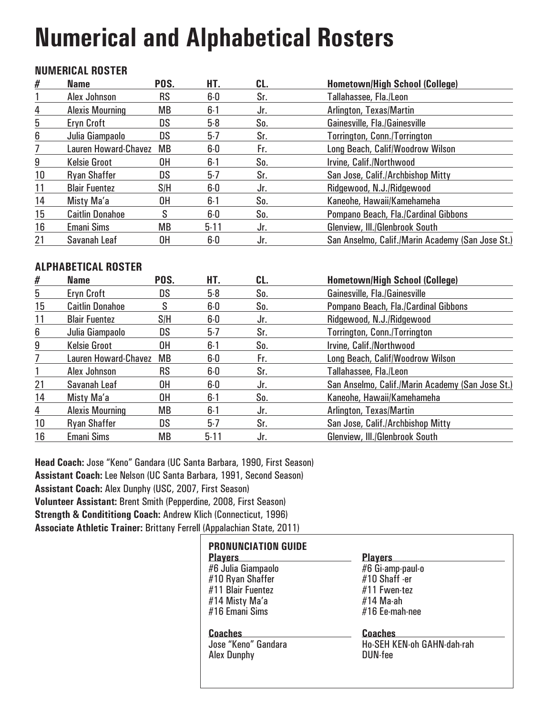# **Numerical and Alphabetical Rosters**

### **NUMERICAL ROSTER**

| #  | <b>Name</b>                 | POS.      | HT.      | CL. | <b>Hometown/High School (College)</b>            |
|----|-----------------------------|-----------|----------|-----|--------------------------------------------------|
|    | Alex Johnson                | <b>RS</b> | 6-0      | Sr. | Tallahassee, Fla./Leon                           |
| 4  | <b>Alexis Mourning</b>      | MB        | $6 - 1$  | Jr. | Arlington, Texas/Martin                          |
| 5  | Eryn Croft                  | DS        | $5-8$    | So. | Gainesville, Fla./Gainesville                    |
| 6  | Julia Giampaolo             | DS        | $5-7$    | Sr. | Torrington, Conn./Torrington                     |
| 7  | <b>Lauren Howard-Chavez</b> | MB        | 6-0      | Fr. | Long Beach, Calif/Woodrow Wilson                 |
| 9  | <b>Kelsie Groot</b>         | 0H        | $6 - 1$  | So. | Irvine, Calif./Northwood                         |
| 10 | <b>Ryan Shaffer</b>         | DS        | $5-7$    | Sr. | San Jose, Calif./Archbishop Mitty                |
| 11 | <b>Blair Fuentez</b>        | S/H       | $6-0$    | Jr. | Ridgewood, N.J./Ridgewood                        |
| 14 | Misty Ma'a                  | 0H        | $6 - 1$  | So. | Kaneohe, Hawaii/Kamehameha                       |
| 15 | <b>Caitlin Donahoe</b>      | S         | $6-0$    | So. | Pompano Beach, Fla./Cardinal Gibbons             |
| 16 | <b>Emani Sims</b>           | <b>MB</b> | $5 - 11$ | Jr. | Glenview, III./Glenbrook South                   |
| 21 | Savanah Leaf                | 0H        | 6-0      | Jr. | San Anselmo, Calif./Marin Academy (San Jose St.) |

### **ALPHABETICAL ROSTER**

| #  | <b>Name</b>                 | POS.      | HT.      | CL. | <b>Hometown/High School (College)</b>            |
|----|-----------------------------|-----------|----------|-----|--------------------------------------------------|
| 5  | <b>Eryn Croft</b>           | <b>DS</b> | $5-8$    | So. | Gainesville, Fla./Gainesville                    |
| 15 | <b>Caitlin Donahoe</b>      | S         | $6-0$    | So. | Pompano Beach, Fla./Cardinal Gibbons             |
| 11 | <b>Blair Fuentez</b>        | S/H       | $6-0$    | Jr. | Ridgewood, N.J./Ridgewood                        |
| 6  | Julia Giampaolo             | <b>DS</b> | $5-7$    | Sr. | <b>Torrington, Conn./Torrington</b>              |
| 9  | <b>Kelsie Groot</b>         | 0H        | $6 - 1$  | So. | Irvine, Calif./Northwood                         |
|    | <b>Lauren Howard-Chavez</b> | MB        | $6-0$    | Fr. | Long Beach, Calif/Woodrow Wilson                 |
|    | Alex Johnson                | <b>RS</b> | $6-0$    | Sr. | Tallahassee, Fla./Leon                           |
| 21 | Savanah Leaf                | 0H        | $6-0$    | Jr. | San Anselmo, Calif./Marin Academy (San Jose St.) |
| 14 | Misty Ma'a                  | 0H        | $6 - 1$  | So. | Kaneohe, Hawaii/Kamehameha                       |
| 4  | <b>Alexis Mourning</b>      | <b>MB</b> | $6 - 1$  | Jr. | Arlington, Texas/Martin                          |
| 10 | <b>Ryan Shaffer</b>         | <b>DS</b> | $5-7$    | Sr. | San Jose, Calif./Archbishop Mitty                |
| 16 | <b>Emani Sims</b>           | <b>MB</b> | $5 - 11$ | Jr. | Glenview, III./Glenbrook South                   |

**Head Coach:** Jose "Keno" Gandara (UC Santa Barbara, 1990, First Season) **Assistant Coach:** Lee Nelson (UC Santa Barbara, 1991, Second Season) **Assistant Coach:** Alex Dunphy (USC, 2007, First Season) **Volunteer Assistant:** Brent Smith (Pepperdine, 2008, First Season) **Strength & Condititiong Coach:** Andrew Klich (Connecticut, 1996) **Associate Athletic Trainer:** Brittany Ferrell (Appalachian State, 2011)

| <b>PRONUNCIATION GUIDE</b><br><b>Players</b> | <b>Players</b>             |
|----------------------------------------------|----------------------------|
| #6 Julia Giampaolo                           | #6 Gi-amp-paul-o           |
| #10 Ryan Shaffer                             | #10 Shaff -er              |
| #11 Blair Fuentez                            | #11 Fwen-tez               |
| #14 Misty Ma'a                               | #14 Ma-ah                  |
| #16 Emani Sims                               | #16 Ee-mah-nee             |
| <b>Coaches</b>                               | <b>Coaches</b>             |
| Jose "Keno" Gandara                          | Ho-SEH KEN-oh GAHN-dah-rah |
| <b>Alex Dunphy</b>                           | <b>DUN-fee</b>             |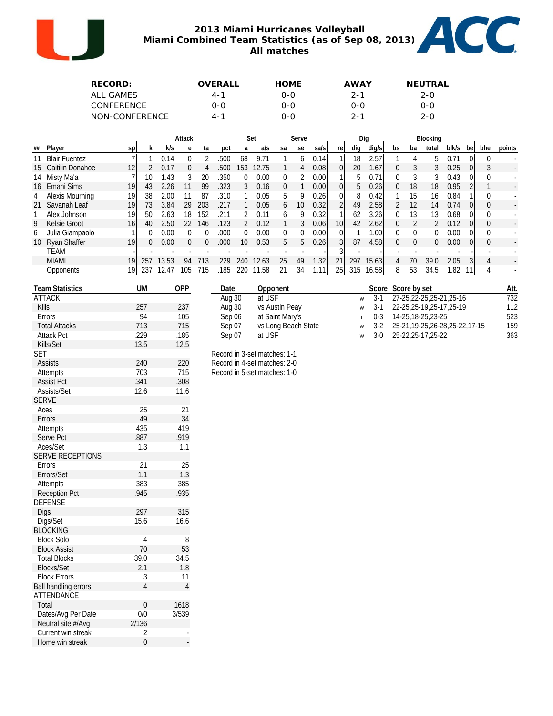

#### **2013 Miami Hurricanes Volleyball Miami Combined Team Statistics (as of Sep 08, 2013) All matches**



| RECORD:        | OVERALI | <b>HOME</b> | AWAY    | NFUTRAL |
|----------------|---------|-------------|---------|---------|
| ALL GAMES      | $4 - 1$ | O-O         | $2 - 1$ | $2 - 0$ |
| CONFERENCE     | 0-0     | 0-0         | 0-0     | 0-0     |
| NON-CONFERENCE | $4 - 1$ | റ-റ         | $2 - 1$ | $2 - 0$ |

|   |                     |                 |     |       | Attack   |     |       |                 | Set   |    | Serve           |       |                 |     | Dig   |          |    | Blocking      |       |          |     |        |
|---|---------------------|-----------------|-----|-------|----------|-----|-------|-----------------|-------|----|-----------------|-------|-----------------|-----|-------|----------|----|---------------|-------|----------|-----|--------|
|   | ## Player           | S <sub>p</sub>  | k.  | k/s   | e        | ta  | pct   | a               | a/s   | sa | se              | sa/s  | re              | dig | dig/s | bs       | ba | total         | blk/s | bel      | bhe | points |
|   | 11 Blair Fuentez    |                 |     | 0.14  | 0        |     | .500  | 68              | 9.71  |    | <sub>b</sub>    | 0.14  |                 | 18  | 2.57  |          |    | 5.            | 0.71  |          |     |        |
|   | 15 Caitilin Donahoe | 12 <sup>1</sup> |     | 0.17  | $\Omega$ | 4   | .500l | 153             | 12.75 |    | 4               | 0.081 | 01              | 20  | 1.67  | 0        | 3  | 3             | 0.25  | $\Omega$ |     |        |
|   | 14 Misty Ma'a       |                 | 10  | 1.43  | 3        | 20  | .350I | 0               | 0.00  | 0  |                 | 0.00  |                 | b.  | 0.71  | $\Omega$ |    | 3             | 0.43  | ΩI       |     |        |
|   | 16 Emani Sims       | 19              | 43  | 2.26  | 11       | 99  | .323  | 3               | 0.16  | 0  |                 | 0.001 |                 | 5   | 0.26  | 0        | 18 | 18            | 0.95  |          |     |        |
|   | 4 Alexis Mourning   | 19              | 38  | 2.00  | 11       | 87  | 310I  |                 | 0.05  | 5. | 9               | 0.26  | $\overline{0}$  | 8   | 0.42  |          | 15 | 16            | 0.84  |          |     |        |
|   | 21 Savanah Leaf     | 19              | 73  | 3.84  | 29       | 203 | .217  |                 | 0.05  | 6  | 10 <sup>°</sup> | 0.32  | 2 <sup>1</sup>  | 49  | 2.58  | 2        | 12 | 14            | 0.74  | ΩI       |     |        |
|   | Alex Johnson        | 19              | 50  | 2.63  | 18       | 152 | 211   | $\mathcal{P}$   | 0.11  | h. | 9               | 0.32  |                 | 62  | 3.26  | $\theta$ | 13 | 13            | 0.68  |          |     |        |
| 9 | Kelsie Groot        | 16 <sub>l</sub> | 40  | 2.50  | 22       | 146 | 123   | $\mathcal{P}$   | 0.12  |    | 3               | 0.06  | 10 <sub>l</sub> | 42  | 2.62  | 0        |    | $\mathcal{P}$ | 0.12  | ΩI       |     |        |
| 6 | Julia Giampaolo     |                 | 0   | 0.00  | $\Omega$ |     | 0001  | 0               | 0.00  | 0  | 0               | 0.001 | ΩI              |     | 1.001 | 0        | 0  | 0             | 0.00  | ΩI       |     |        |
|   | 10 Ryan Shaffer     | 19              | 0   | 0.00  | $\Omega$ | 0   | .000  | 10 <sup>°</sup> | 0.53  | 5  | 5               | 0.26  |                 | 87  | 4.58  | $\Omega$ | 0  | $\Omega$      | 0.00  | 01       |     |        |
|   | TEAM                |                 |     |       |          |     |       |                 |       |    |                 |       |                 |     |       |          |    |               |       |          |     |        |
|   | <b>MIAMI</b>        | 19              | 257 | 13.53 | 94       | 713 | 229   | 240             | 12.63 | 25 | 49              | 1.32  | 21              | 297 | 15.63 | 4        | 70 | 39.0          | 2.05  |          |     |        |
|   | Opponents           | 191             | 237 | 12.47 | 105      | 715 | 185 l | 220             | 11.58 | 21 | 34              | 1.11  | 25              | 315 | 16.58 | 8        | 53 | 34.5          | 1.82  | 11       |     |        |
|   |                     |                 |     |       |          |     |       |                 |       |    |                 |       |                 |     |       |          |    |               |       |          |     |        |

| <b>Team Statistics</b> | UM   | OPP  | Date   | Opponent            |   |           | Score Score by set                      | Att. |
|------------------------|------|------|--------|---------------------|---|-----------|-----------------------------------------|------|
| <b>ATTACK</b>          |      |      | Aug 30 | at USF              | W | $3-1$     | 27-25,22-25,25-21,25-16                 | 732  |
| <b>Kills</b>           | 257  | 237  | Aug 30 | vs Austin Peay      |   | $w = 3-1$ | 22-25,25-19,25-17,25-19                 | 112  |
| <b>Errors</b>          | 94   | 105  | Sep 06 | at Saint Mary's     |   | 0-3       | 14-25.18-25.23-25                       | 523  |
| <b>Total Attacks</b>   | 713  | 715  | Sep 07 | vs Long Beach State |   |           | w 3-2 25-21, 19-25, 26-28, 25-22, 17-15 | 159  |
| <b>Attack Pct</b>      | .229 | .185 | Sep 07 | at USF              | W | $3-0$     | 25-22.25-17.25-22                       | 363  |
| Kills/Set              | 13.5 | 12.5 |        |                     |   |           |                                         |      |

| Record in 3-set matches: 1-1 |
|------------------------------|
| Record in 4-set matches: 2-0 |
| Record in 5-set matches: 1-0 |

| Kills/Set                   | 13.5     | 12.5           |
|-----------------------------|----------|----------------|
| <b>SET</b>                  |          |                |
| <b>Assists</b>              | 240      | 220            |
| Attempts                    | 703      | 715            |
| <b>Assist Pct</b>           | .341     | .308           |
| Assists/Set                 | 12.6     | 11.6           |
| <b>SERVE</b>                |          |                |
| Aces                        | 25       | 21             |
|                             | 49       | 34             |
| Errors                      |          |                |
| Attempts                    | 435      | 419            |
| Serve Pct                   | .887     | .919           |
| Aces/Set                    | 1.3      | 1.1            |
| <b>SERVE RECEPTIONS</b>     |          |                |
| Errors                      | 21       | 25             |
| Errors/Set                  | 1.1      | 1.3            |
| Attempts                    | 383      | 385            |
| <b>Reception Pct</b>        | .945     | .935           |
| <b>DEFENSE</b>              |          |                |
| Digs                        | 297      | 315            |
| Digs/Set                    | 15.6     | 16.6           |
| <b>BLOCKING</b>             |          |                |
| <b>Block Solo</b>           | 4        | 8              |
| <b>Block Assist</b>         | 70       | 53             |
| <b>Total Blocks</b>         | 39.0     | 34.5           |
| <b>Blocks/Set</b>           | 2.1      | 1.8            |
| <b>Block Errors</b>         | 3        | 11             |
| <b>Ball handling errors</b> | 4        | $\overline{4}$ |
| ATTENDANCE                  |          |                |
| Total                       | $\Omega$ | 1618           |
| Dates/Avg Per Date          | 0/0      | 3/539          |
| Neutral site #/Avg          | 2/136    |                |
| Current win streak          | 2        |                |
| Home win streak             | 0        |                |